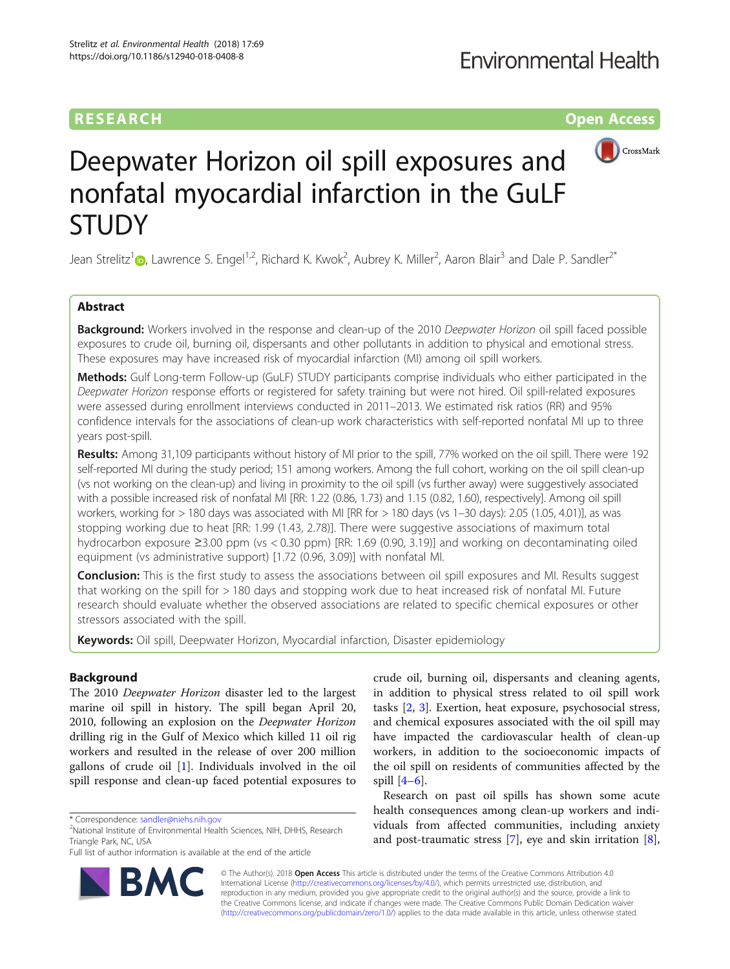## **RESEARCH CHINESE ARCH CHINESE ARCH CHINESE ARCH**



# Deepwater Horizon oil spill exposures and nonfatal myocardial infarction in the GuLF **STUDY**

Jean Strelitz<sup>1</sup> (**b**[,](http://orcid.org/0000-0003-4051-6944) Lawrence S. Engel<sup>1,2</sup>, Richard K. Kwok<sup>2</sup>, Aubrey K. Miller<sup>2</sup>, Aaron Blair<sup>3</sup> and Dale P. Sandler<sup>2\*</sup>

## Abstract

**Background:** Workers involved in the response and clean-up of the 2010 Deepwater Horizon oil spill faced possible exposures to crude oil, burning oil, dispersants and other pollutants in addition to physical and emotional stress. These exposures may have increased risk of myocardial infarction (MI) among oil spill workers.

Methods: Gulf Long-term Follow-up (GuLF) STUDY participants comprise individuals who either participated in the Deepwater Horizon response efforts or registered for safety training but were not hired. Oil spill-related exposures were assessed during enrollment interviews conducted in 2011–2013. We estimated risk ratios (RR) and 95% confidence intervals for the associations of clean-up work characteristics with self-reported nonfatal MI up to three years post-spill.

Results: Among 31,109 participants without history of MI prior to the spill, 77% worked on the oil spill. There were 192 self-reported MI during the study period; 151 among workers. Among the full cohort, working on the oil spill clean-up (vs not working on the clean-up) and living in proximity to the oil spill (vs further away) were suggestively associated with a possible increased risk of nonfatal MI [RR: 1.22 (0.86, 1.73) and 1.15 (0.82, 1.60), respectively]. Among oil spill workers, working for > 180 days was associated with MI [RR for > 180 days (vs 1–30 days): 2.05 (1.05, 4.01)], as was stopping working due to heat [RR: 1.99 (1.43, 2.78)]. There were suggestive associations of maximum total hydrocarbon exposure ≥3.00 ppm (vs < 0.30 ppm) [RR: 1.69 (0.90, 3.19)] and working on decontaminating oiled equipment (vs administrative support) [1.72 (0.96, 3.09)] with nonfatal MI.

Conclusion: This is the first study to assess the associations between oil spill exposures and MI. Results suggest that working on the spill for > 180 days and stopping work due to heat increased risk of nonfatal MI. Future research should evaluate whether the observed associations are related to specific chemical exposures or other stressors associated with the spill.

Keywords: Oil spill, Deepwater Horizon, Myocardial infarction, Disaster epidemiology

## Background

The 2010 Deepwater Horizon disaster led to the largest marine oil spill in history. The spill began April 20, 2010, following an explosion on the Deepwater Horizon drilling rig in the Gulf of Mexico which killed 11 oil rig workers and resulted in the release of over 200 million gallons of crude oil [[1\]](#page-11-0). Individuals involved in the oil spill response and clean-up faced potential exposures to

Full list of author information is available at the end of the article



crude oil, burning oil, dispersants and cleaning agents, in addition to physical stress related to oil spill work tasks [[2,](#page-11-0) [3](#page-11-0)]. Exertion, heat exposure, psychosocial stress, and chemical exposures associated with the oil spill may have impacted the cardiovascular health of clean-up workers, in addition to the socioeconomic impacts of the oil spill on residents of communities affected by the spill  $[4-6]$  $[4-6]$  $[4-6]$  $[4-6]$  $[4-6]$ .

Research on past oil spills has shown some acute health consequences among clean-up workers and individuals from affected communities, including anxiety and post-traumatic stress [\[7\]](#page-11-0), eye and skin irritation [\[8](#page-11-0)],

© The Author(s). 2018 Open Access This article is distributed under the terms of the Creative Commons Attribution 4.0 International License [\(http://creativecommons.org/licenses/by/4.0/](http://creativecommons.org/licenses/by/4.0/)), which permits unrestricted use, distribution, and reproduction in any medium, provided you give appropriate credit to the original author(s) and the source, provide a link to the Creative Commons license, and indicate if changes were made. The Creative Commons Public Domain Dedication waiver [\(http://creativecommons.org/publicdomain/zero/1.0/](http://creativecommons.org/publicdomain/zero/1.0/)) applies to the data made available in this article, unless otherwise stated.

<sup>\*</sup> Correspondence: [sandler@niehs.nih.gov](mailto:sandler@niehs.nih.gov) <sup>2</sup>

<sup>&</sup>lt;sup>2</sup>National Institute of Environmental Health Sciences, NIH, DHHS, Research Triangle Park, NC, USA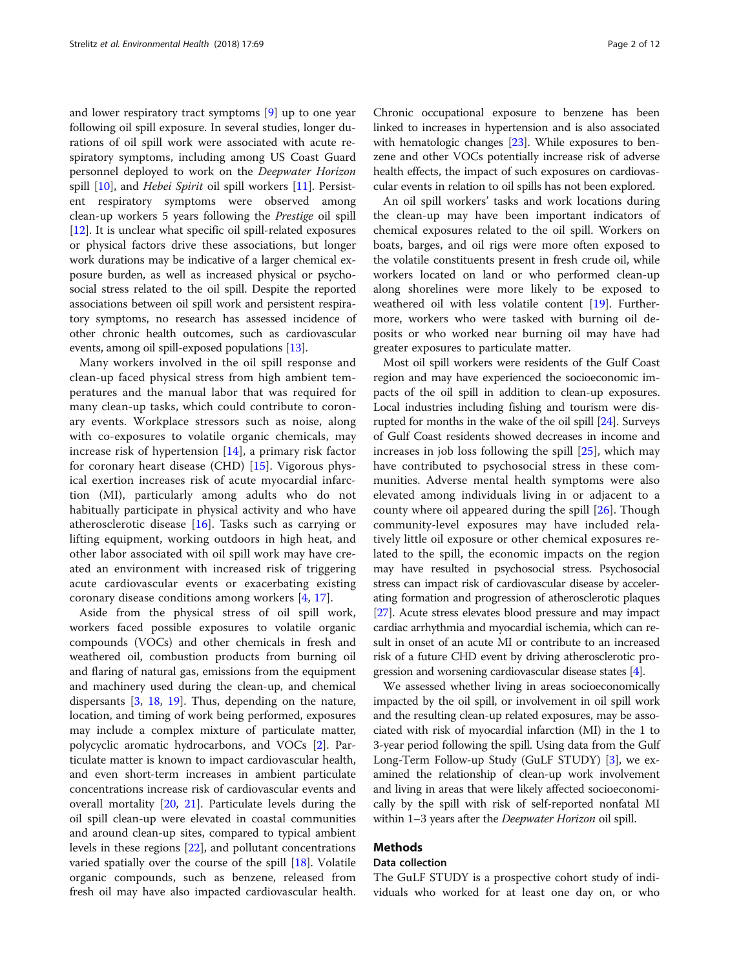and lower respiratory tract symptoms [[9\]](#page-11-0) up to one year following oil spill exposure. In several studies, longer durations of oil spill work were associated with acute respiratory symptoms, including among US Coast Guard personnel deployed to work on the Deepwater Horizon spill [[10\]](#page-11-0), and *Hebei Spirit* oil spill workers [[11\]](#page-11-0). Persistent respiratory symptoms were observed among clean-up workers 5 years following the Prestige oil spill [[12\]](#page-11-0). It is unclear what specific oil spill-related exposures or physical factors drive these associations, but longer work durations may be indicative of a larger chemical exposure burden, as well as increased physical or psychosocial stress related to the oil spill. Despite the reported associations between oil spill work and persistent respiratory symptoms, no research has assessed incidence of other chronic health outcomes, such as cardiovascular events, among oil spill-exposed populations [\[13\]](#page-11-0).

Many workers involved in the oil spill response and clean-up faced physical stress from high ambient temperatures and the manual labor that was required for many clean-up tasks, which could contribute to coronary events. Workplace stressors such as noise, along with co-exposures to volatile organic chemicals, may increase risk of hypertension [[14\]](#page-11-0), a primary risk factor for coronary heart disease (CHD) [[15\]](#page-11-0). Vigorous physical exertion increases risk of acute myocardial infarction (MI), particularly among adults who do not habitually participate in physical activity and who have atherosclerotic disease [[16\]](#page-11-0). Tasks such as carrying or lifting equipment, working outdoors in high heat, and other labor associated with oil spill work may have created an environment with increased risk of triggering acute cardiovascular events or exacerbating existing coronary disease conditions among workers [\[4](#page-11-0), [17\]](#page-11-0).

Aside from the physical stress of oil spill work, workers faced possible exposures to volatile organic compounds (VOCs) and other chemicals in fresh and weathered oil, combustion products from burning oil and flaring of natural gas, emissions from the equipment and machinery used during the clean-up, and chemical dispersants [[3](#page-11-0), [18,](#page-11-0) [19\]](#page-11-0). Thus, depending on the nature, location, and timing of work being performed, exposures may include a complex mixture of particulate matter, polycyclic aromatic hydrocarbons, and VOCs [\[2](#page-11-0)]. Particulate matter is known to impact cardiovascular health, and even short-term increases in ambient particulate concentrations increase risk of cardiovascular events and overall mortality [[20,](#page-11-0) [21](#page-11-0)]. Particulate levels during the oil spill clean-up were elevated in coastal communities and around clean-up sites, compared to typical ambient levels in these regions [[22](#page-11-0)], and pollutant concentrations varied spatially over the course of the spill [\[18](#page-11-0)]. Volatile organic compounds, such as benzene, released from fresh oil may have also impacted cardiovascular health.

Chronic occupational exposure to benzene has been linked to increases in hypertension and is also associated with hematologic changes [[23](#page-11-0)]. While exposures to benzene and other VOCs potentially increase risk of adverse health effects, the impact of such exposures on cardiovascular events in relation to oil spills has not been explored.

An oil spill workers' tasks and work locations during the clean-up may have been important indicators of chemical exposures related to the oil spill. Workers on boats, barges, and oil rigs were more often exposed to the volatile constituents present in fresh crude oil, while workers located on land or who performed clean-up along shorelines were more likely to be exposed to weathered oil with less volatile content [\[19\]](#page-11-0). Furthermore, workers who were tasked with burning oil deposits or who worked near burning oil may have had greater exposures to particulate matter.

Most oil spill workers were residents of the Gulf Coast region and may have experienced the socioeconomic impacts of the oil spill in addition to clean-up exposures. Local industries including fishing and tourism were disrupted for months in the wake of the oil spill [\[24\]](#page-11-0). Surveys of Gulf Coast residents showed decreases in income and increases in job loss following the spill [\[25](#page-11-0)], which may have contributed to psychosocial stress in these communities. Adverse mental health symptoms were also elevated among individuals living in or adjacent to a county where oil appeared during the spill [[26\]](#page-11-0). Though community-level exposures may have included relatively little oil exposure or other chemical exposures related to the spill, the economic impacts on the region may have resulted in psychosocial stress. Psychosocial stress can impact risk of cardiovascular disease by accelerating formation and progression of atherosclerotic plaques [[27](#page-11-0)]. Acute stress elevates blood pressure and may impact cardiac arrhythmia and myocardial ischemia, which can result in onset of an acute MI or contribute to an increased risk of a future CHD event by driving atherosclerotic progression and worsening cardiovascular disease states [[4\]](#page-11-0).

We assessed whether living in areas socioeconomically impacted by the oil spill, or involvement in oil spill work and the resulting clean-up related exposures, may be associated with risk of myocardial infarction (MI) in the 1 to 3-year period following the spill. Using data from the Gulf Long-Term Follow-up Study (GuLF STUDY) [\[3\]](#page-11-0), we examined the relationship of clean-up work involvement and living in areas that were likely affected socioeconomically by the spill with risk of self-reported nonfatal MI within 1–3 years after the Deepwater Horizon oil spill.

## Methods

## Data collection

The GuLF STUDY is a prospective cohort study of individuals who worked for at least one day on, or who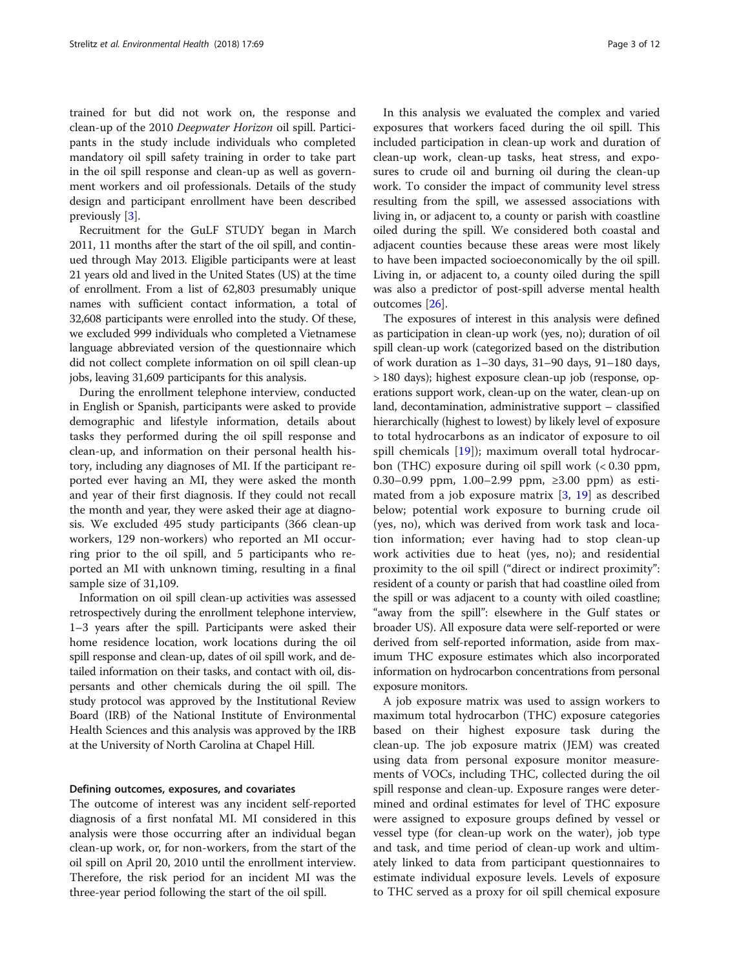trained for but did not work on, the response and clean-up of the 2010 Deepwater Horizon oil spill. Participants in the study include individuals who completed mandatory oil spill safety training in order to take part in the oil spill response and clean-up as well as government workers and oil professionals. Details of the study design and participant enrollment have been described previously [\[3](#page-11-0)].

Recruitment for the GuLF STUDY began in March 2011, 11 months after the start of the oil spill, and continued through May 2013. Eligible participants were at least 21 years old and lived in the United States (US) at the time of enrollment. From a list of 62,803 presumably unique names with sufficient contact information, a total of 32,608 participants were enrolled into the study. Of these, we excluded 999 individuals who completed a Vietnamese language abbreviated version of the questionnaire which did not collect complete information on oil spill clean-up jobs, leaving 31,609 participants for this analysis.

During the enrollment telephone interview, conducted in English or Spanish, participants were asked to provide demographic and lifestyle information, details about tasks they performed during the oil spill response and clean-up, and information on their personal health history, including any diagnoses of MI. If the participant reported ever having an MI, they were asked the month and year of their first diagnosis. If they could not recall the month and year, they were asked their age at diagnosis. We excluded 495 study participants (366 clean-up workers, 129 non-workers) who reported an MI occurring prior to the oil spill, and 5 participants who reported an MI with unknown timing, resulting in a final sample size of 31,109.

Information on oil spill clean-up activities was assessed retrospectively during the enrollment telephone interview, 1–3 years after the spill. Participants were asked their home residence location, work locations during the oil spill response and clean-up, dates of oil spill work, and detailed information on their tasks, and contact with oil, dispersants and other chemicals during the oil spill. The study protocol was approved by the Institutional Review Board (IRB) of the National Institute of Environmental Health Sciences and this analysis was approved by the IRB at the University of North Carolina at Chapel Hill.

#### Defining outcomes, exposures, and covariates

The outcome of interest was any incident self-reported diagnosis of a first nonfatal MI. MI considered in this analysis were those occurring after an individual began clean-up work, or, for non-workers, from the start of the oil spill on April 20, 2010 until the enrollment interview. Therefore, the risk period for an incident MI was the three-year period following the start of the oil spill.

In this analysis we evaluated the complex and varied exposures that workers faced during the oil spill. This included participation in clean-up work and duration of clean-up work, clean-up tasks, heat stress, and exposures to crude oil and burning oil during the clean-up work. To consider the impact of community level stress resulting from the spill, we assessed associations with living in, or adjacent to, a county or parish with coastline oiled during the spill. We considered both coastal and adjacent counties because these areas were most likely to have been impacted socioeconomically by the oil spill. Living in, or adjacent to, a county oiled during the spill was also a predictor of post-spill adverse mental health outcomes [\[26](#page-11-0)].

The exposures of interest in this analysis were defined as participation in clean-up work (yes, no); duration of oil spill clean-up work (categorized based on the distribution of work duration as 1–30 days, 31–90 days, 91–180 days, > 180 days); highest exposure clean-up job (response, operations support work, clean-up on the water, clean-up on land, decontamination, administrative support – classified hierarchically (highest to lowest) by likely level of exposure to total hydrocarbons as an indicator of exposure to oil spill chemicals [[19](#page-11-0)]); maximum overall total hydrocarbon (THC) exposure during oil spill work (< 0.30 ppm, 0.30–0.99 ppm, 1.00–2.99 ppm, ≥3.00 ppm) as estimated from a job exposure matrix [[3,](#page-11-0) [19\]](#page-11-0) as described below; potential work exposure to burning crude oil (yes, no), which was derived from work task and location information; ever having had to stop clean-up work activities due to heat (yes, no); and residential proximity to the oil spill ("direct or indirect proximity": resident of a county or parish that had coastline oiled from the spill or was adjacent to a county with oiled coastline; "away from the spill": elsewhere in the Gulf states or broader US). All exposure data were self-reported or were derived from self-reported information, aside from maximum THC exposure estimates which also incorporated information on hydrocarbon concentrations from personal exposure monitors.

A job exposure matrix was used to assign workers to maximum total hydrocarbon (THC) exposure categories based on their highest exposure task during the clean-up. The job exposure matrix (JEM) was created using data from personal exposure monitor measurements of VOCs, including THC, collected during the oil spill response and clean-up. Exposure ranges were determined and ordinal estimates for level of THC exposure were assigned to exposure groups defined by vessel or vessel type (for clean-up work on the water), job type and task, and time period of clean-up work and ultimately linked to data from participant questionnaires to estimate individual exposure levels. Levels of exposure to THC served as a proxy for oil spill chemical exposure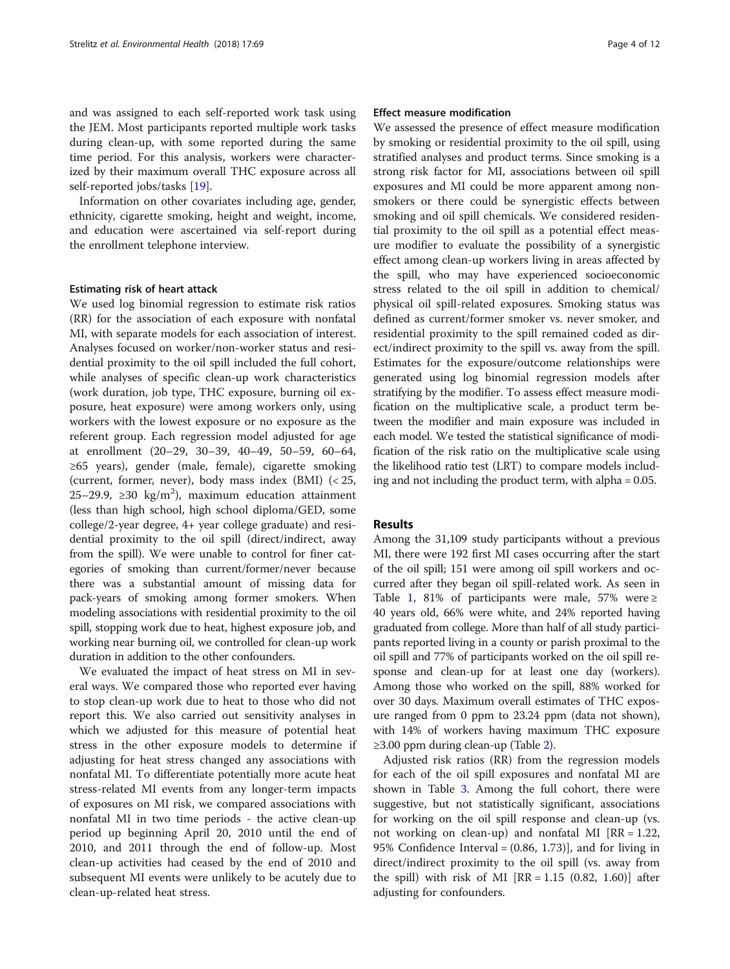and was assigned to each self-reported work task using the JEM. Most participants reported multiple work tasks during clean-up, with some reported during the same time period. For this analysis, workers were characterized by their maximum overall THC exposure across all self-reported jobs/tasks [\[19\]](#page-11-0).

Information on other covariates including age, gender, ethnicity, cigarette smoking, height and weight, income, and education were ascertained via self-report during the enrollment telephone interview.

#### Estimating risk of heart attack

We used log binomial regression to estimate risk ratios (RR) for the association of each exposure with nonfatal MI, with separate models for each association of interest. Analyses focused on worker/non-worker status and residential proximity to the oil spill included the full cohort, while analyses of specific clean-up work characteristics (work duration, job type, THC exposure, burning oil exposure, heat exposure) were among workers only, using workers with the lowest exposure or no exposure as the referent group. Each regression model adjusted for age at enrollment (20–29, 30–39, 40–49, 50–59, 60–64, ≥65 years), gender (male, female), cigarette smoking (current, former, never), body mass index (BMI) (< 25, 25–29.9, ≥30 kg/m<sup>2</sup>), maximum education attainment (less than high school, high school diploma/GED, some college/2-year degree, 4+ year college graduate) and residential proximity to the oil spill (direct/indirect, away from the spill). We were unable to control for finer categories of smoking than current/former/never because there was a substantial amount of missing data for pack-years of smoking among former smokers. When modeling associations with residential proximity to the oil spill, stopping work due to heat, highest exposure job, and working near burning oil, we controlled for clean-up work duration in addition to the other confounders.

We evaluated the impact of heat stress on MI in several ways. We compared those who reported ever having to stop clean-up work due to heat to those who did not report this. We also carried out sensitivity analyses in which we adjusted for this measure of potential heat stress in the other exposure models to determine if adjusting for heat stress changed any associations with nonfatal MI. To differentiate potentially more acute heat stress-related MI events from any longer-term impacts of exposures on MI risk, we compared associations with nonfatal MI in two time periods - the active clean-up period up beginning April 20, 2010 until the end of 2010, and 2011 through the end of follow-up. Most clean-up activities had ceased by the end of 2010 and subsequent MI events were unlikely to be acutely due to clean-up-related heat stress.

## Effect measure modification

We assessed the presence of effect measure modification by smoking or residential proximity to the oil spill, using stratified analyses and product terms. Since smoking is a strong risk factor for MI, associations between oil spill exposures and MI could be more apparent among nonsmokers or there could be synergistic effects between smoking and oil spill chemicals. We considered residential proximity to the oil spill as a potential effect measure modifier to evaluate the possibility of a synergistic effect among clean-up workers living in areas affected by the spill, who may have experienced socioeconomic stress related to the oil spill in addition to chemical/ physical oil spill-related exposures. Smoking status was defined as current/former smoker vs. never smoker, and residential proximity to the spill remained coded as direct/indirect proximity to the spill vs. away from the spill. Estimates for the exposure/outcome relationships were generated using log binomial regression models after stratifying by the modifier. To assess effect measure modification on the multiplicative scale, a product term between the modifier and main exposure was included in each model. We tested the statistical significance of modification of the risk ratio on the multiplicative scale using the likelihood ratio test (LRT) to compare models including and not including the product term, with alpha = 0.05.

## **Results**

Among the 31,109 study participants without a previous MI, there were 192 first MI cases occurring after the start of the oil spill; 151 were among oil spill workers and occurred after they began oil spill-related work. As seen in Table [1](#page-4-0), 81% of participants were male, 57% were  $\ge$ 40 years old, 66% were white, and 24% reported having graduated from college. More than half of all study participants reported living in a county or parish proximal to the oil spill and 77% of participants worked on the oil spill response and clean-up for at least one day (workers). Among those who worked on the spill, 88% worked for over 30 days. Maximum overall estimates of THC exposure ranged from 0 ppm to 23.24 ppm (data not shown), with 14% of workers having maximum THC exposure ≥3.00 ppm during clean-up (Table [2](#page-5-0)).

Adjusted risk ratios (RR) from the regression models for each of the oil spill exposures and nonfatal MI are shown in Table [3.](#page-6-0) Among the full cohort, there were suggestive, but not statistically significant, associations for working on the oil spill response and clean-up (vs. not working on clean-up) and nonfatal MI [RR = 1.22, 95% Confidence Interval = (0.86, 1.73)], and for living in direct/indirect proximity to the oil spill (vs. away from the spill) with risk of MI  $[RR = 1.15 (0.82, 1.60)]$  after adjusting for confounders.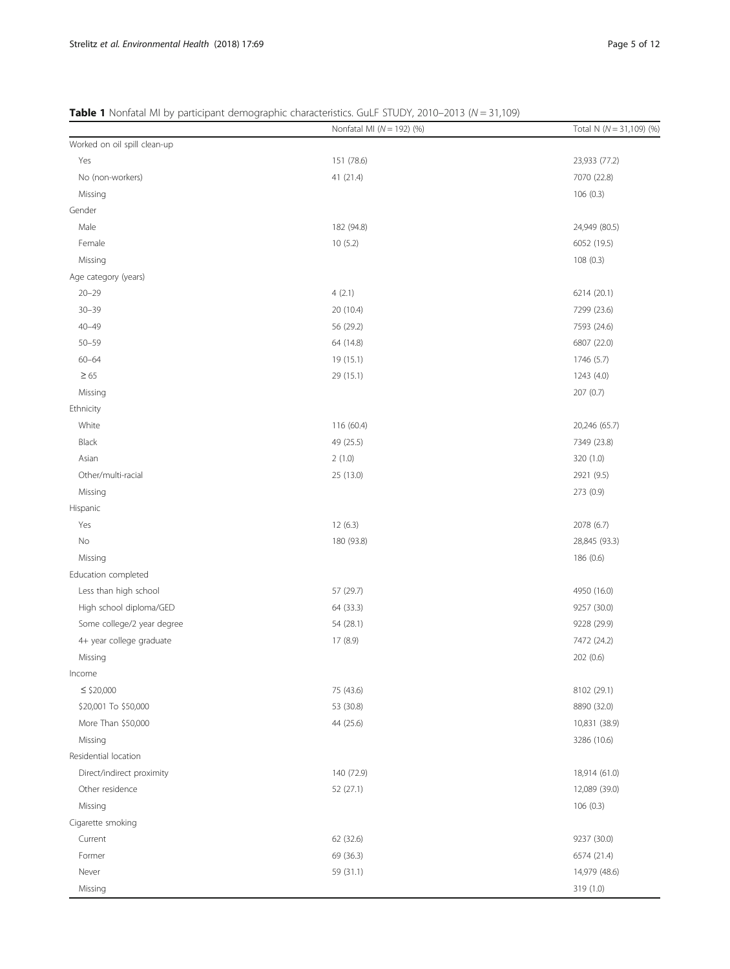<span id="page-4-0"></span>

| Table 1 Nonfatal MI by participant demographic characteristics. GuLF STUDY, 2010-2013 (N = 31,109) |  |
|----------------------------------------------------------------------------------------------------|--|
|----------------------------------------------------------------------------------------------------|--|

|                              | Nonfatal MI ( $N = 192$ ) (%) | Total N ( $N = 31,109$ ) (%) |
|------------------------------|-------------------------------|------------------------------|
| Worked on oil spill clean-up |                               |                              |
| Yes                          | 151 (78.6)                    | 23,933 (77.2)                |
| No (non-workers)             | 41 (21.4)                     | 7070 (22.8)                  |
| Missing                      |                               | 106(0.3)                     |
| Gender                       |                               |                              |
| Male                         | 182 (94.8)                    | 24,949 (80.5)                |
| Female                       | 10(5.2)                       | 6052 (19.5)                  |
| Missing                      |                               | 108(0.3)                     |
| Age category (years)         |                               |                              |
| $20 - 29$                    | 4(2.1)                        | 6214 (20.1)                  |
| $30 - 39$                    | 20 (10.4)                     | 7299 (23.6)                  |
| $40 - 49$                    | 56 (29.2)                     | 7593 (24.6)                  |
| $50 - 59$                    | 64 (14.8)                     | 6807 (22.0)                  |
| $60 - 64$                    | 19 (15.1)                     | 1746 (5.7)                   |
| $\geq 65$                    | 29 (15.1)                     | 1243 (4.0)                   |
| Missing                      |                               | 207(0.7)                     |
| Ethnicity                    |                               |                              |
| White                        | 116 (60.4)                    | 20,246 (65.7)                |
| Black                        | 49 (25.5)                     | 7349 (23.8)                  |
| Asian                        | 2(1.0)                        | 320 (1.0)                    |
| Other/multi-racial           | 25 (13.0)                     | 2921 (9.5)                   |
| Missing                      |                               | 273 (0.9)                    |
| Hispanic                     |                               |                              |
| Yes                          | 12(6.3)                       | 2078 (6.7)                   |
| No                           | 180 (93.8)                    | 28,845 (93.3)                |
| Missing                      |                               | 186 (0.6)                    |
| Education completed          |                               |                              |
| Less than high school        | 57 (29.7)                     | 4950 (16.0)                  |
| High school diploma/GED      | 64 (33.3)                     | 9257 (30.0)                  |
| Some college/2 year degree   | 54 (28.1)                     | 9228 (29.9)                  |
| 4+ year college graduate     | 17(8.9)                       | 7472 (24.2)                  |
| Missing                      |                               | 202 (0.6)                    |
| Income                       |                               |                              |
| $\leq$ \$20,000              | 75 (43.6)                     | 8102 (29.1)                  |
| \$20,001 To \$50,000         | 53 (30.8)                     | 8890 (32.0)                  |
| More Than \$50,000           | 44 (25.6)                     | 10,831 (38.9)                |
| Missing                      |                               | 3286 (10.6)                  |
| Residential location         |                               |                              |
| Direct/indirect proximity    | 140 (72.9)                    | 18,914 (61.0)                |
| Other residence              | 52 (27.1)                     | 12,089 (39.0)                |
| Missing                      |                               | 106(0.3)                     |
| Cigarette smoking            |                               |                              |
| Current                      | 62 (32.6)                     | 9237 (30.0)                  |
| Former                       | 69 (36.3)                     | 6574 (21.4)                  |
| Never                        | 59 (31.1)                     | 14,979 (48.6)                |
| Missing                      |                               | 319 (1.0)                    |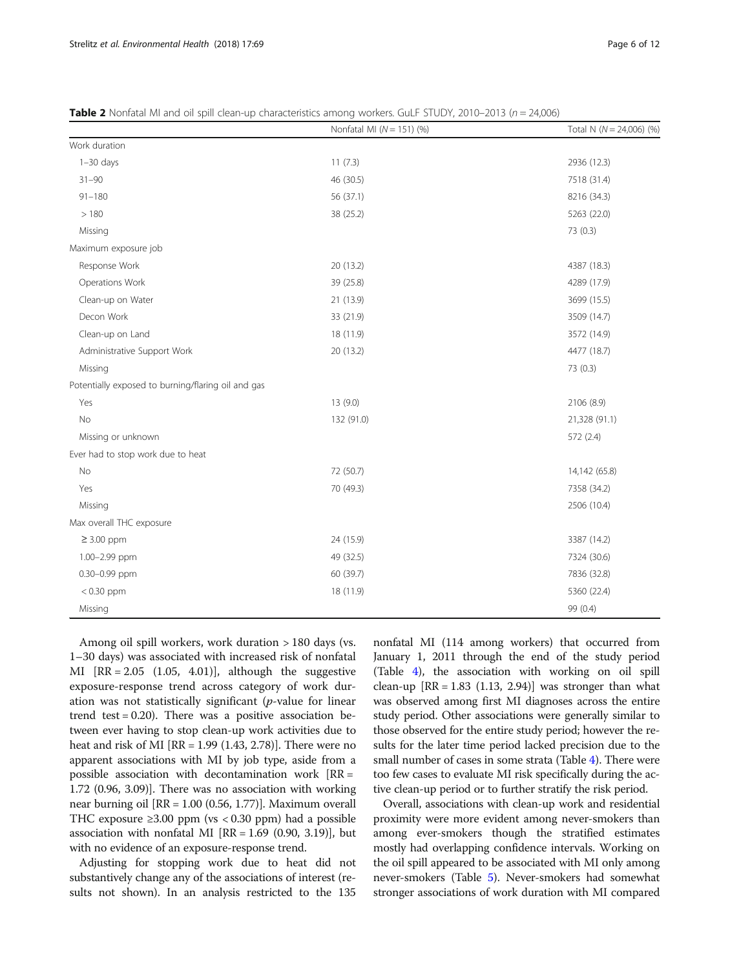|                                                    | Nonfatal MI $(N = 151)$ (%) | Total N $(N = 24,006)$ (%) |
|----------------------------------------------------|-----------------------------|----------------------------|
| Work duration                                      |                             |                            |
| $1-30$ days                                        | 11(7.3)                     | 2936 (12.3)                |
| $31 - 90$                                          | 46 (30.5)                   | 7518 (31.4)                |
| $91 - 180$                                         | 56 (37.1)                   | 8216 (34.3)                |
| >180                                               | 38 (25.2)                   | 5263 (22.0)                |
| Missing                                            |                             | 73(0.3)                    |
| Maximum exposure job                               |                             |                            |
| Response Work                                      | 20 (13.2)                   | 4387 (18.3)                |
| Operations Work                                    | 39 (25.8)                   | 4289 (17.9)                |
| Clean-up on Water                                  | 21 (13.9)                   | 3699 (15.5)                |
| Decon Work                                         | 33 (21.9)                   | 3509 (14.7)                |
| Clean-up on Land                                   | 18 (11.9)                   | 3572 (14.9)                |
| Administrative Support Work                        | 20 (13.2)                   | 4477 (18.7)                |
| Missing                                            |                             | 73 (0.3)                   |
| Potentially exposed to burning/flaring oil and gas |                             |                            |
| Yes                                                | 13(9.0)                     | 2106 (8.9)                 |
| No                                                 | 132 (91.0)                  | 21,328 (91.1)              |
| Missing or unknown                                 |                             | 572 (2.4)                  |
| Ever had to stop work due to heat                  |                             |                            |
| No                                                 | 72 (50.7)                   | 14,142 (65.8)              |
| Yes                                                | 70 (49.3)                   | 7358 (34.2)                |
| Missing                                            |                             | 2506 (10.4)                |
| Max overall THC exposure                           |                             |                            |
| $\geq$ 3.00 ppm                                    | 24 (15.9)                   | 3387 (14.2)                |
| 1.00-2.99 ppm                                      | 49 (32.5)                   | 7324 (30.6)                |
| 0.30-0.99 ppm                                      | 60 (39.7)                   | 7836 (32.8)                |
| $< 0.30$ ppm                                       | 18 (11.9)                   | 5360 (22.4)                |
| Missing                                            |                             | 99 (0.4)                   |

<span id="page-5-0"></span>**Table 2** Nonfatal MI and oil spill clean-up characteristics among workers. GuLF STUDY, 2010–2013 ( $n = 24,006$ )

Among oil spill workers, work duration > 180 days (vs. 1–30 days) was associated with increased risk of nonfatal MI  $[RR = 2.05 (1.05, 4.01)],$  although the suggestive exposure-response trend across category of work duration was not statistically significant ( $p$ -value for linear trend test  $= 0.20$ ). There was a positive association between ever having to stop clean-up work activities due to heat and risk of MI [RR = 1.99 (1.43, 2.78)]. There were no apparent associations with MI by job type, aside from a possible association with decontamination work  $[RR =$ 1.72 (0.96, 3.09)]. There was no association with working near burning oil [RR = 1.00 (0.56, 1.77)]. Maximum overall THC exposure ≥3.00 ppm (vs < 0.30 ppm) had a possible association with nonfatal MI  $[RR = 1.69 (0.90, 3.19)]$ , but with no evidence of an exposure-response trend.

Adjusting for stopping work due to heat did not substantively change any of the associations of interest (results not shown). In an analysis restricted to the 135

nonfatal MI (114 among workers) that occurred from January 1, 2011 through the end of the study period (Table [4](#page-7-0)), the association with working on oil spill clean-up  $[RR = 1.83 (1.13, 2.94)]$  was stronger than what was observed among first MI diagnoses across the entire study period. Other associations were generally similar to those observed for the entire study period; however the results for the later time period lacked precision due to the small number of cases in some strata (Table [4\)](#page-7-0). There were too few cases to evaluate MI risk specifically during the active clean-up period or to further stratify the risk period.

Overall, associations with clean-up work and residential proximity were more evident among never-smokers than among ever-smokers though the stratified estimates mostly had overlapping confidence intervals. Working on the oil spill appeared to be associated with MI only among never-smokers (Table [5\)](#page-8-0). Never-smokers had somewhat stronger associations of work duration with MI compared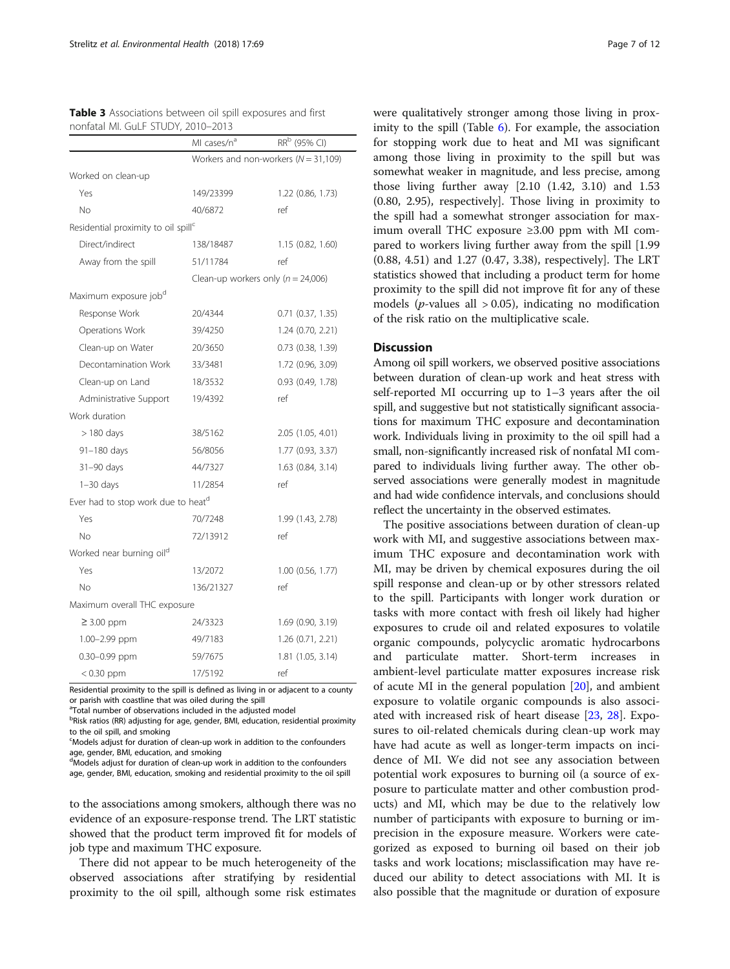|                                                 | MI cases/n <sup>a</sup> | RR <sup>b</sup> (95% CI)                 |
|-------------------------------------------------|-------------------------|------------------------------------------|
|                                                 |                         | Workers and non-workers ( $N = 31,109$ ) |
| Worked on clean-up                              |                         |                                          |
| Yes                                             | 149/23399               | 1.22 (0.86, 1.73)                        |
| No                                              | 40/6872                 | ref                                      |
| Residential proximity to oil spill <sup>c</sup> |                         |                                          |
| Direct/indirect                                 | 138/18487               | 1.15 (0.82, 1.60)                        |
| Away from the spill                             | 51/11784                | ref                                      |
|                                                 |                         | Clean-up workers only ( $n = 24,006$ )   |
| Maximum exposure job <sup>d</sup>               |                         |                                          |
| Response Work                                   | 20/4344                 | $0.71$ $(0.37, 1.35)$                    |
| Operations Work                                 | 39/4250                 | 1.24 (0.70, 2.21)                        |
| Clean-up on Water                               | 20/3650                 | $0.73$ $(0.38, 1.39)$                    |
| Decontamination Work                            | 33/3481                 | 1.72 (0.96, 3.09)                        |
| Clean-up on Land                                | 18/3532                 | $0.93$ $(0.49, 1.78)$                    |
| Administrative Support                          | 19/4392                 | ref                                      |
| Work duration                                   |                         |                                          |
| $>$ 180 days                                    | 38/5162                 | 2.05 (1.05, 4.01)                        |
| 91-180 days                                     | 56/8056                 | 1.77 (0.93, 3.37)                        |
| 31-90 days                                      | 44/7327                 | 1.63 (0.84, 3.14)                        |
| $1-30$ days                                     | 11/2854                 | ref                                      |
| Ever had to stop work due to heatd              |                         |                                          |
| Yes                                             | 70/7248                 | 1.99 (1.43, 2.78)                        |
| No                                              | 72/13912                | ref                                      |
| Worked near burning oil <sup>d</sup>            |                         |                                          |
| Yes                                             | 13/2072                 | $1.00$ (0.56, 1.77)                      |
| No.                                             | 136/21327               | ref                                      |
| Maximum overall THC exposure                    |                         |                                          |
| $\geq$ 3.00 ppm                                 | 24/3323                 | 1.69 (0.90, 3.19)                        |
| 1.00-2.99 ppm                                   | 49/7183                 | 1.26 (0.71, 2.21)                        |
| 0.30-0.99 ppm                                   | 59/7675                 | 1.81 (1.05, 3.14)                        |
| $< 0.30$ ppm                                    | 17/5192                 | ref                                      |

<span id="page-6-0"></span>Table 3 Associations between oil spill exposures and first

Residential proximity to the spill is defined as living in or adjacent to a county or parish with coastline that was oiled during the spill

<sup>a</sup>Total number of observations included in the adjusted model

<sup>b</sup>Risk ratios (RR) adjusting for age, gender, BMI, education, residential proximity to the oil spill, and smoking

<sup>c</sup>Models adjust for duration of clean-up work in addition to the confounders age, gender, BMI, education, and smoking

dModels adjust for duration of clean-up work in addition to the confounders age, gender, BMI, education, smoking and residential proximity to the oil spill

to the associations among smokers, although there was no evidence of an exposure-response trend. The LRT statistic showed that the product term improved fit for models of job type and maximum THC exposure.

There did not appear to be much heterogeneity of the observed associations after stratifying by residential proximity to the oil spill, although some risk estimates were qualitatively stronger among those living in proximity to the spill (Table [6](#page-9-0)). For example, the association for stopping work due to heat and MI was significant among those living in proximity to the spill but was somewhat weaker in magnitude, and less precise, among those living further away [2.10 (1.42, 3.10) and 1.53 (0.80, 2.95), respectively]. Those living in proximity to the spill had a somewhat stronger association for maximum overall THC exposure ≥3.00 ppm with MI compared to workers living further away from the spill [1.99 (0.88, 4.51) and 1.27 (0.47, 3.38), respectively]. The LRT statistics showed that including a product term for home proximity to the spill did not improve fit for any of these models (*p*-values all  $> 0.05$ ), indicating no modification of the risk ratio on the multiplicative scale.

## **Discussion**

Among oil spill workers, we observed positive associations between duration of clean-up work and heat stress with self-reported MI occurring up to 1–3 years after the oil spill, and suggestive but not statistically significant associations for maximum THC exposure and decontamination work. Individuals living in proximity to the oil spill had a small, non-significantly increased risk of nonfatal MI compared to individuals living further away. The other observed associations were generally modest in magnitude and had wide confidence intervals, and conclusions should reflect the uncertainty in the observed estimates.

The positive associations between duration of clean-up work with MI, and suggestive associations between maximum THC exposure and decontamination work with MI, may be driven by chemical exposures during the oil spill response and clean-up or by other stressors related to the spill. Participants with longer work duration or tasks with more contact with fresh oil likely had higher exposures to crude oil and related exposures to volatile organic compounds, polycyclic aromatic hydrocarbons and particulate matter. Short-term increases in ambient-level particulate matter exposures increase risk of acute MI in the general population [\[20](#page-11-0)], and ambient exposure to volatile organic compounds is also associated with increased risk of heart disease [[23,](#page-11-0) [28](#page-11-0)]. Exposures to oil-related chemicals during clean-up work may have had acute as well as longer-term impacts on incidence of MI. We did not see any association between potential work exposures to burning oil (a source of exposure to particulate matter and other combustion products) and MI, which may be due to the relatively low number of participants with exposure to burning or imprecision in the exposure measure. Workers were categorized as exposed to burning oil based on their job tasks and work locations; misclassification may have reduced our ability to detect associations with MI. It is also possible that the magnitude or duration of exposure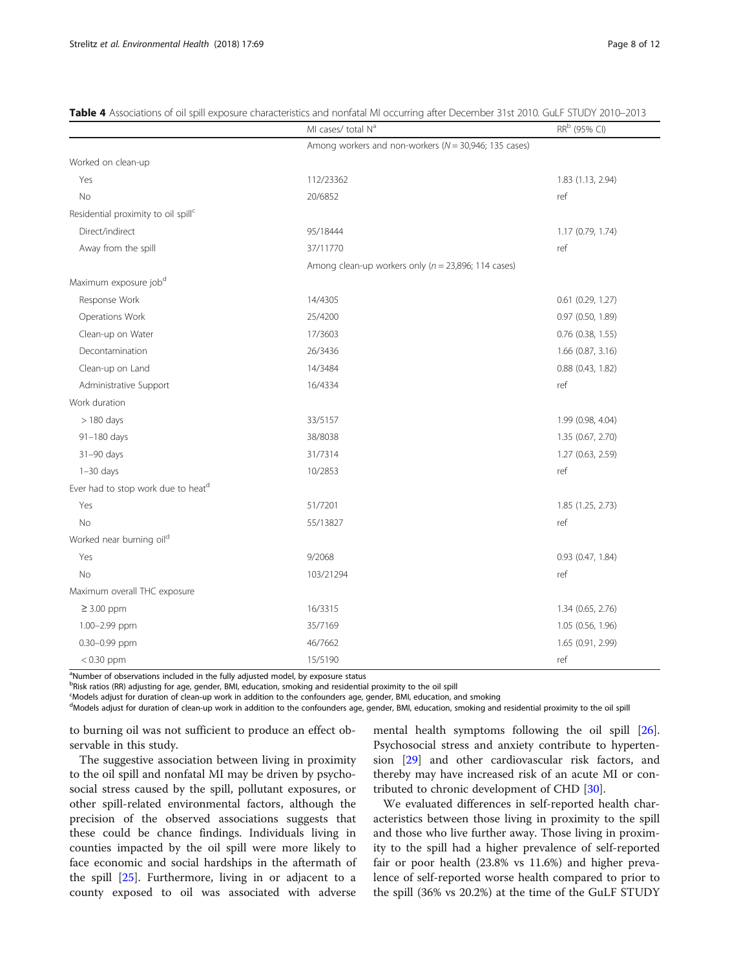|                                                 | MI cases/ total N <sup>a</sup>                            | RR <sup>b</sup> (95% CI) |
|-------------------------------------------------|-----------------------------------------------------------|--------------------------|
|                                                 | Among workers and non-workers ( $N = 30,946$ ; 135 cases) |                          |
| Worked on clean-up                              |                                                           |                          |
| Yes                                             | 112/23362                                                 | 1.83 (1.13, 2.94)        |
| <b>No</b>                                       | 20/6852                                                   | ref                      |
| Residential proximity to oil spill <sup>c</sup> |                                                           |                          |
| Direct/indirect                                 | 95/18444                                                  | 1.17 (0.79, 1.74)        |
| Away from the spill                             | 37/11770                                                  | ref                      |
|                                                 | Among clean-up workers only ( $n = 23,896$ ; 114 cases)   |                          |
| Maximum exposure job <sup>d</sup>               |                                                           |                          |
| Response Work                                   | 14/4305                                                   | 0.61 (0.29, 1.27)        |
| Operations Work                                 | 25/4200                                                   | 0.97 (0.50, 1.89)        |
| Clean-up on Water                               | 17/3603                                                   | $0.76$ (0.38, 1.55)      |
| Decontamination                                 | 26/3436                                                   | 1.66 (0.87, 3.16)        |
| Clean-up on Land                                | 14/3484                                                   | $0.88$ (0.43, 1.82)      |
| Administrative Support                          | 16/4334                                                   | ref                      |
| Work duration                                   |                                                           |                          |
| $> 180$ days                                    | 33/5157                                                   | 1.99 (0.98, 4.04)        |
| 91-180 days                                     | 38/8038                                                   | 1.35 (0.67, 2.70)        |
| 31-90 days                                      | 31/7314                                                   | 1.27 (0.63, 2.59)        |
| $1-30$ days                                     | 10/2853                                                   | ref                      |
| Ever had to stop work due to heat <sup>d</sup>  |                                                           |                          |
| Yes                                             | 51/7201                                                   | 1.85 (1.25, 2.73)        |
| <b>No</b>                                       | 55/13827                                                  | ref                      |
| Worked near burning oil <sup>d</sup>            |                                                           |                          |
| Yes                                             | 9/2068                                                    | 0.93 (0.47, 1.84)        |
| No                                              | 103/21294                                                 | ref                      |
| Maximum overall THC exposure                    |                                                           |                          |
| $\geq$ 3.00 ppm                                 | 16/3315                                                   | 1.34 (0.65, 2.76)        |
| 1.00-2.99 ppm                                   | 35/7169                                                   | 1.05 (0.56, 1.96)        |
| 0.30-0.99 ppm                                   | 46/7662                                                   | 1.65 (0.91, 2.99)        |
| $< 0.30$ ppm                                    | 15/5190                                                   | ref                      |

<span id="page-7-0"></span>

|  |  | Table 4 Associations of oil spill exposure characteristics and nonfatal MI occurring after December 31st 2010. GuLF STUDY 2010–2013 |
|--|--|-------------------------------------------------------------------------------------------------------------------------------------|
|  |  |                                                                                                                                     |

<sup>a</sup>Number of observations included in the fully adjusted model, by exposure status

<sup>b</sup>Risk ratios (RR) adjusting for age, gender, BMI, education, smoking and residential proximity to the oil spill

c Models adjust for duration of clean-up work in addition to the confounders age, gender, BMI, education, and smoking

<sup>d</sup>Models adjust for duration of clean-up work in addition to the confounders age, gender, BMI, education, smoking and residential proximity to the oil spill

to burning oil was not sufficient to produce an effect observable in this study.

The suggestive association between living in proximity to the oil spill and nonfatal MI may be driven by psychosocial stress caused by the spill, pollutant exposures, or other spill-related environmental factors, although the precision of the observed associations suggests that these could be chance findings. Individuals living in counties impacted by the oil spill were more likely to face economic and social hardships in the aftermath of the spill [[25](#page-11-0)]. Furthermore, living in or adjacent to a county exposed to oil was associated with adverse

mental health symptoms following the oil spill [\[26](#page-11-0)]. Psychosocial stress and anxiety contribute to hypertension [\[29](#page-11-0)] and other cardiovascular risk factors, and thereby may have increased risk of an acute MI or contributed to chronic development of CHD [\[30](#page-11-0)].

We evaluated differences in self-reported health characteristics between those living in proximity to the spill and those who live further away. Those living in proximity to the spill had a higher prevalence of self-reported fair or poor health (23.8% vs 11.6%) and higher prevalence of self-reported worse health compared to prior to the spill (36% vs 20.2%) at the time of the GuLF STUDY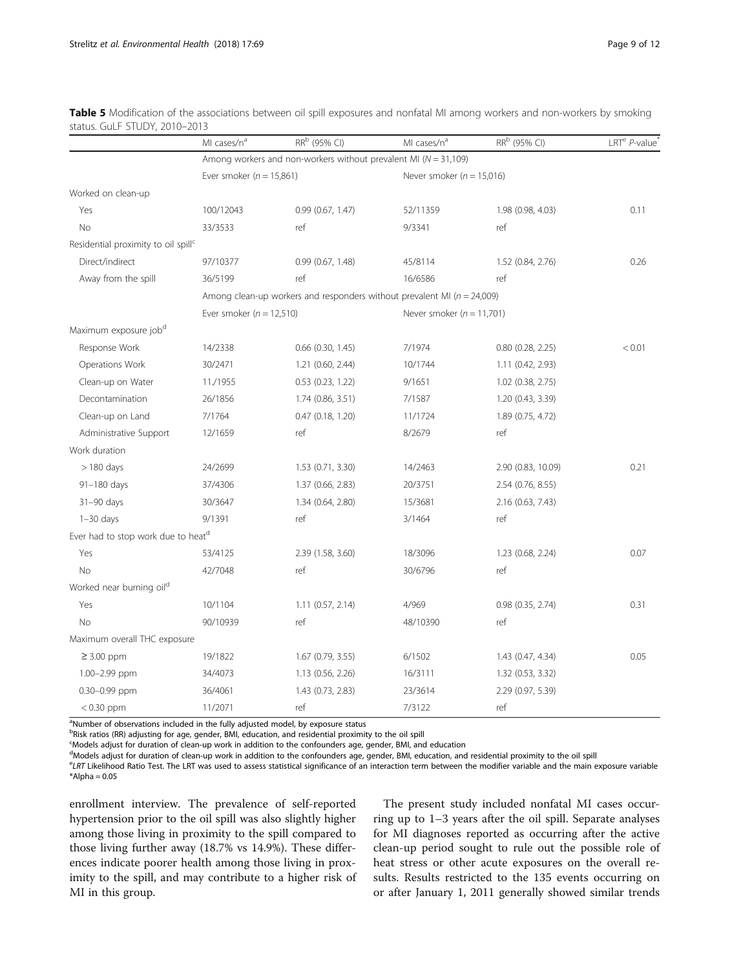|                                                 | MI cases/n <sup>a</sup>      | RR <sup>b</sup> (95% CI)                                                    | MI cases/n <sup>a</sup>       | RR <sup>b</sup> (95% CI) | LRT <sup>e</sup> P-value |
|-------------------------------------------------|------------------------------|-----------------------------------------------------------------------------|-------------------------------|--------------------------|--------------------------|
|                                                 |                              | Among workers and non-workers without prevalent MI ( $N = 31,109$ )         |                               |                          |                          |
|                                                 | Ever smoker ( $n = 15,861$ ) |                                                                             | Never smoker ( $n = 15,016$ ) |                          |                          |
| Worked on clean-up                              |                              |                                                                             |                               |                          |                          |
| Yes                                             | 100/12043                    | 0.99(0.67, 1.47)                                                            | 52/11359                      | 1.98 (0.98, 4.03)        | 0.11                     |
| No                                              | 33/3533                      | ref                                                                         | 9/3341                        | ref                      |                          |
| Residential proximity to oil spill <sup>c</sup> |                              |                                                                             |                               |                          |                          |
| Direct/indirect                                 | 97/10377                     | 0.99(0.67, 1.48)                                                            | 45/8114                       | 1.52 (0.84, 2.76)        | 0.26                     |
| Away from the spill                             | 36/5199                      | ref                                                                         | 16/6586                       | ref                      |                          |
|                                                 |                              | Among clean-up workers and responders without prevalent MI ( $n = 24,009$ ) |                               |                          |                          |
|                                                 | Ever smoker ( $n = 12,510$ ) |                                                                             | Never smoker ( $n = 11,701$ ) |                          |                          |
| Maximum exposure job <sup>d</sup>               |                              |                                                                             |                               |                          |                          |
| Response Work                                   | 14/2338                      | $0.66$ $(0.30, 1.45)$                                                       | 7/1974                        | $0.80$ $(0.28, 2.25)$    | < 0.01                   |
| Operations Work                                 | 30/2471                      | 1.21 (0.60, 2.44)                                                           | 10/1744                       | 1.11 (0.42, 2.93)        |                          |
| Clean-up on Water                               | 11./1955                     | $0.53$ $(0.23, 1.22)$                                                       | 9/1651                        | 1.02 (0.38, 2.75)        |                          |
| Decontamination                                 | 26/1856                      | 1.74 (0.86, 3.51)                                                           | 7/1587                        | 1.20 (0.43, 3.39)        |                          |
| Clean-up on Land                                | 7/1764                       | $0.47$ $(0.18, 1.20)$                                                       | 11/1724                       | 1.89 (0.75, 4.72)        |                          |
| Administrative Support                          | 12/1659                      | ref                                                                         | 8/2679                        | ref                      |                          |
| Work duration                                   |                              |                                                                             |                               |                          |                          |
| $>$ 180 days                                    | 24/2699                      | 1.53 (0.71, 3.30)                                                           | 14/2463                       | 2.90 (0.83, 10.09)       | 0.21                     |
| 91-180 days                                     | 37/4306                      | 1.37 (0.66, 2.83)                                                           | 20/3751                       | 2.54 (0.76, 8.55)        |                          |
| 31-90 days                                      | 30/3647                      | 1.34 (0.64, 2.80)                                                           | 15/3681                       | 2.16 (0.63, 7.43)        |                          |
| $1-30$ days                                     | 9/1391                       | ref                                                                         | 3/1464                        | ref                      |                          |
| Ever had to stop work due to heatd              |                              |                                                                             |                               |                          |                          |
| Yes                                             | 53/4125                      | 2.39 (1.58, 3.60)                                                           | 18/3096                       | 1.23 (0.68, 2.24)        | 0.07                     |
| No                                              | 42/7048                      | ref                                                                         | 30/6796                       | ref                      |                          |
| Worked near burning oil <sup>d</sup>            |                              |                                                                             |                               |                          |                          |
| Yes                                             | 10/1104                      | 1.11 (0.57, 2.14)                                                           | 4/969                         | $0.98$ $(0.35, 2.74)$    | 0.31                     |
| No                                              | 90/10939                     | ref                                                                         | 48/10390                      | ref                      |                          |
| Maximum overall THC exposure                    |                              |                                                                             |                               |                          |                          |
| $\geq$ 3.00 ppm                                 | 19/1822                      | 1.67 (0.79, 3.55)                                                           | 6/1502                        | 1.43 (0.47, 4.34)        | 0.05                     |
| 1.00-2.99 ppm                                   | 34/4073                      | 1.13 (0.56, 2.26)                                                           | 16/3111                       | 1.32 (0.53, 3.32)        |                          |
| 0.30-0.99 ppm                                   | 36/4061                      | 1.43 (0.73, 2.83)                                                           | 23/3614                       | 2.29 (0.97, 5.39)        |                          |
| $< 0.30$ ppm                                    | 11/2071                      | ref                                                                         | 7/3122                        | ref                      |                          |

<span id="page-8-0"></span>Table 5 Modification of the associations between oil spill exposures and nonfatal MI among workers and non-workers by smoking status. Gul F STUDY, 2010-2013

<sup>a</sup>Number of observations included in the fully adjusted model, by exposure status

<sup>b</sup>Risk ratios (RR) adjusting for age, gender, BMI, education, and residential proximity to the oil spill

c Models adjust for duration of clean-up work in addition to the confounders age, gender, BMI, and education

<sup>d</sup>Models adjust for duration of clean-up work in addition to the confounders age, gender, BMI, education, and residential proximity to the oil spill

<sup>e</sup>LRT Likelihood Ratio Test. The LRT was used to assess statistical significance of an interaction term between the modifier variable and the main exposure variable  $*A$ lpha = 0.05

enrollment interview. The prevalence of self-reported hypertension prior to the oil spill was also slightly higher among those living in proximity to the spill compared to those living further away (18.7% vs 14.9%). These differences indicate poorer health among those living in proximity to the spill, and may contribute to a higher risk of MI in this group.

The present study included nonfatal MI cases occurring up to 1–3 years after the oil spill. Separate analyses for MI diagnoses reported as occurring after the active clean-up period sought to rule out the possible role of heat stress or other acute exposures on the overall results. Results restricted to the 135 events occurring on or after January 1, 2011 generally showed similar trends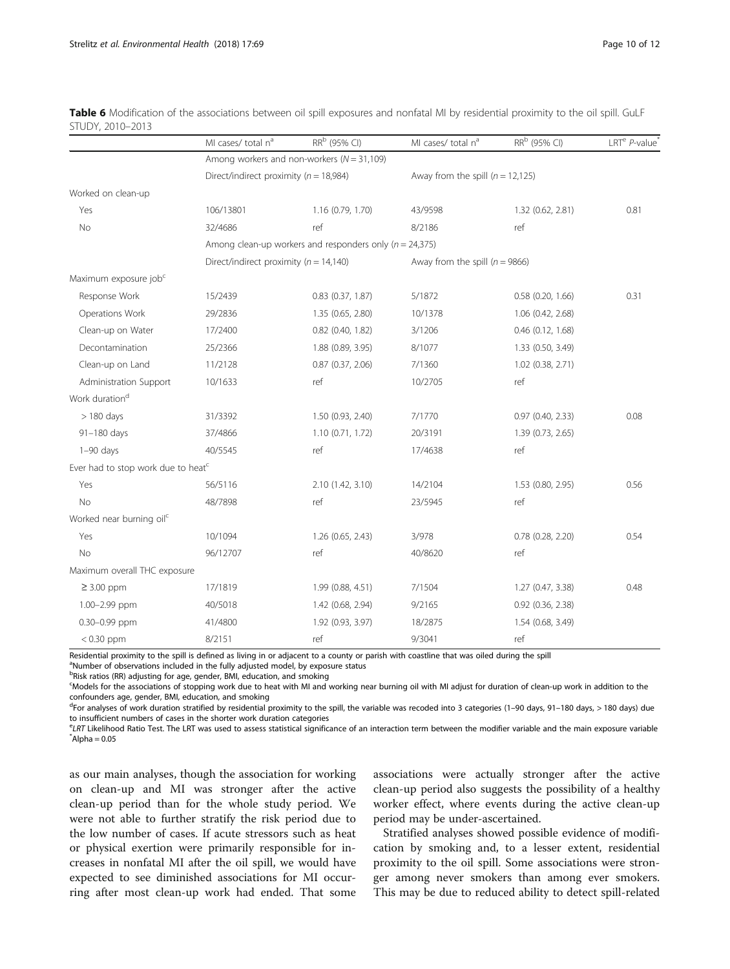|                                                | MI cases/ total n <sup>a</sup>             | RR <sup>b</sup> (95% CI)                                    | MI cases/ total n <sup>a</sup>   | RR <sup>b</sup> (95% CI)           | LRT <sup>e</sup> P-value |  |
|------------------------------------------------|--------------------------------------------|-------------------------------------------------------------|----------------------------------|------------------------------------|--------------------------|--|
|                                                |                                            | Among workers and non-workers ( $N = 31,109$ )              |                                  |                                    |                          |  |
|                                                | Direct/indirect proximity ( $n = 18,984$ ) |                                                             |                                  | Away from the spill $(n = 12,125)$ |                          |  |
| Worked on clean-up                             |                                            |                                                             |                                  |                                    |                          |  |
| Yes                                            | 106/13801                                  | 1.16 (0.79, 1.70)                                           | 43/9598                          | 1.32 (0.62, 2.81)                  | 0.81                     |  |
| No                                             | 32/4686                                    | ref                                                         | 8/2186                           | ref                                |                          |  |
|                                                |                                            | Among clean-up workers and responders only ( $n = 24,375$ ) |                                  |                                    |                          |  |
|                                                | Direct/indirect proximity ( $n = 14,140$ ) |                                                             | Away from the spill $(n = 9866)$ |                                    |                          |  |
| Maximum exposure job <sup>c</sup>              |                                            |                                                             |                                  |                                    |                          |  |
| Response Work                                  | 15/2439                                    | $0.83$ $(0.37, 1.87)$                                       | 5/1872                           | 0.58(0.20, 1.66)                   | 0.31                     |  |
| Operations Work                                | 29/2836                                    | 1.35 (0.65, 2.80)                                           | 10/1378                          | 1.06 (0.42, 2.68)                  |                          |  |
| Clean-up on Water                              | 17/2400                                    | $0.82$ (0.40, 1.82)                                         | 3/1206                           | $0.46$ $(0.12, 1.68)$              |                          |  |
| Decontamination                                | 25/2366                                    | 1.88 (0.89, 3.95)                                           | 8/1077                           | 1.33 (0.50, 3.49)                  |                          |  |
| Clean-up on Land                               | 11/2128                                    | 0.87(0.37, 2.06)                                            | 7/1360                           | 1.02 (0.38, 2.71)                  |                          |  |
| Administration Support                         | 10/1633                                    | ref                                                         | 10/2705                          | ref                                |                          |  |
| Work duration <sup>d</sup>                     |                                            |                                                             |                                  |                                    |                          |  |
| $>180$ days                                    | 31/3392                                    | 1.50 (0.93, 2.40)                                           | 7/1770                           | 0.97(0.40, 2.33)                   | 0.08                     |  |
| 91-180 days                                    | 37/4866                                    | 1.10(0.71, 1.72)                                            | 20/3191                          | 1.39 (0.73, 2.65)                  |                          |  |
| $1-90$ days                                    | 40/5545                                    | ref                                                         | 17/4638                          | ref                                |                          |  |
| Ever had to stop work due to heat <sup>c</sup> |                                            |                                                             |                                  |                                    |                          |  |
| Yes                                            | 56/5116                                    | 2.10 (1.42, 3.10)                                           | 14/2104                          | 1.53 (0.80, 2.95)                  | 0.56                     |  |
| No                                             | 48/7898                                    | ref                                                         | 23/5945                          | ref                                |                          |  |
| Worked near burning oil <sup>c</sup>           |                                            |                                                             |                                  |                                    |                          |  |
| Yes                                            | 10/1094                                    | 1.26 (0.65, 2.43)                                           | 3/978                            | $0.78$ $(0.28, 2.20)$              | 0.54                     |  |
| No                                             | 96/12707                                   | ref                                                         | 40/8620                          | ref                                |                          |  |
| Maximum overall THC exposure                   |                                            |                                                             |                                  |                                    |                          |  |
| $\geq$ 3.00 ppm                                | 17/1819                                    | 1.99 (0.88, 4.51)                                           | 7/1504                           | 1.27 (0.47, 3.38)                  | 0.48                     |  |
| 1.00-2.99 ppm                                  | 40/5018                                    | 1.42 (0.68, 2.94)                                           | 9/2165                           | 0.92 (0.36, 2.38)                  |                          |  |
| 0.30-0.99 ppm                                  | 41/4800                                    | 1.92 (0.93, 3.97)                                           | 18/2875                          | 1.54 (0.68, 3.49)                  |                          |  |

<span id="page-9-0"></span>

|                  | Table 6 Modification of the associations between oil spill exposures and nonfatal MI by residential proximity to the oil spill. GuLF |  |  |  |  |  |
|------------------|--------------------------------------------------------------------------------------------------------------------------------------|--|--|--|--|--|
| STUDY, 2010-2013 |                                                                                                                                      |  |  |  |  |  |

< 0.30 ppm 8/2151 ref 9/3041 ref Residential proximity to the spill is defined as living in or adjacent to a county or parish with coastline that was oiled during the spill

<sup>a</sup>Number of observations included in the fully adjusted model, by exposure status

<sup>b</sup>Risk ratios (RR) adjusting for age, gender, BMI, education, and smoking

c Models for the associations of stopping work due to heat with MI and working near burning oil with MI adjust for duration of clean-up work in addition to the confounders age, gender, BMI, education, and smoking

<sup>d</sup>For analyses of work duration stratified by residential proximity to the spill, the variable was recoded into 3 categories (1–90 days, 91–180 days, > 180 days) due to insufficient numbers of cases in the shorter work duration categories

<sup>e</sup>LRT Likelihood Ratio Test. The LRT was used to assess statistical significance of an interaction term between the modifier variable and the main exposure variable<br>\*^lpb2=0.05  $*$ Alpha = 0.05

as our main analyses, though the association for working on clean-up and MI was stronger after the active clean-up period than for the whole study period. We were not able to further stratify the risk period due to the low number of cases. If acute stressors such as heat or physical exertion were primarily responsible for increases in nonfatal MI after the oil spill, we would have expected to see diminished associations for MI occurring after most clean-up work had ended. That some

associations were actually stronger after the active clean-up period also suggests the possibility of a healthy worker effect, where events during the active clean-up period may be under-ascertained.

Stratified analyses showed possible evidence of modification by smoking and, to a lesser extent, residential proximity to the oil spill. Some associations were stronger among never smokers than among ever smokers. This may be due to reduced ability to detect spill-related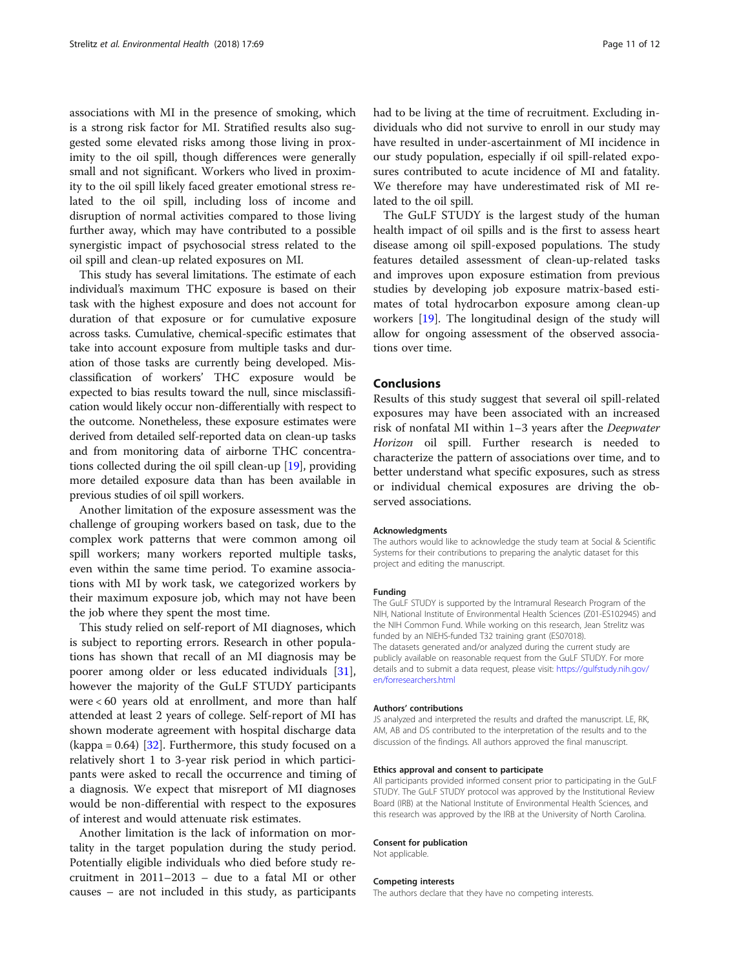associations with MI in the presence of smoking, which is a strong risk factor for MI. Stratified results also suggested some elevated risks among those living in proximity to the oil spill, though differences were generally small and not significant. Workers who lived in proximity to the oil spill likely faced greater emotional stress related to the oil spill, including loss of income and disruption of normal activities compared to those living further away, which may have contributed to a possible synergistic impact of psychosocial stress related to the oil spill and clean-up related exposures on MI.

This study has several limitations. The estimate of each individual's maximum THC exposure is based on their task with the highest exposure and does not account for duration of that exposure or for cumulative exposure across tasks. Cumulative, chemical-specific estimates that take into account exposure from multiple tasks and duration of those tasks are currently being developed. Misclassification of workers' THC exposure would be expected to bias results toward the null, since misclassification would likely occur non-differentially with respect to the outcome. Nonetheless, these exposure estimates were derived from detailed self-reported data on clean-up tasks and from monitoring data of airborne THC concentrations collected during the oil spill clean-up [[19](#page-11-0)], providing more detailed exposure data than has been available in previous studies of oil spill workers.

Another limitation of the exposure assessment was the challenge of grouping workers based on task, due to the complex work patterns that were common among oil spill workers; many workers reported multiple tasks, even within the same time period. To examine associations with MI by work task, we categorized workers by their maximum exposure job, which may not have been the job where they spent the most time.

This study relied on self-report of MI diagnoses, which is subject to reporting errors. Research in other populations has shown that recall of an MI diagnosis may be poorer among older or less educated individuals [\[31](#page-11-0)], however the majority of the GuLF STUDY participants were < 60 years old at enrollment, and more than half attended at least 2 years of college. Self-report of MI has shown moderate agreement with hospital discharge data  $\alpha$  (kappa = 0.64) [[32\]](#page-11-0). Furthermore, this study focused on a relatively short 1 to 3-year risk period in which participants were asked to recall the occurrence and timing of a diagnosis. We expect that misreport of MI diagnoses would be non-differential with respect to the exposures of interest and would attenuate risk estimates.

Another limitation is the lack of information on mortality in the target population during the study period. Potentially eligible individuals who died before study recruitment in 2011–2013 – due to a fatal MI or other causes – are not included in this study, as participants had to be living at the time of recruitment. Excluding individuals who did not survive to enroll in our study may have resulted in under-ascertainment of MI incidence in our study population, especially if oil spill-related exposures contributed to acute incidence of MI and fatality. We therefore may have underestimated risk of MI related to the oil spill.

The GuLF STUDY is the largest study of the human health impact of oil spills and is the first to assess heart disease among oil spill-exposed populations. The study features detailed assessment of clean-up-related tasks and improves upon exposure estimation from previous studies by developing job exposure matrix-based estimates of total hydrocarbon exposure among clean-up workers [[19](#page-11-0)]. The longitudinal design of the study will allow for ongoing assessment of the observed associations over time.

### Conclusions

Results of this study suggest that several oil spill-related exposures may have been associated with an increased risk of nonfatal MI within 1–3 years after the Deepwater Horizon oil spill. Further research is needed to characterize the pattern of associations over time, and to better understand what specific exposures, such as stress or individual chemical exposures are driving the observed associations.

#### Acknowledgments

The authors would like to acknowledge the study team at Social & Scientific Systems for their contributions to preparing the analytic dataset for this project and editing the manuscript.

#### Funding

The GuLF STUDY is supported by the Intramural Research Program of the NIH, National Institute of Environmental Health Sciences (Z01-ES102945) and the NIH Common Fund. While working on this research, Jean Strelitz was funded by an NIEHS-funded T32 training grant (ES07018). The datasets generated and/or analyzed during the current study are publicly available on reasonable request from the GuLF STUDY. For more details and to submit a data request, please visit: [https://gulfstudy.nih.gov/](https://gulfstudy.nih.gov/en/forresearchers.html) [en/forresearchers.html](https://gulfstudy.nih.gov/en/forresearchers.html)

#### Authors' contributions

JS analyzed and interpreted the results and drafted the manuscript. LE, RK, AM, AB and DS contributed to the interpretation of the results and to the discussion of the findings. All authors approved the final manuscript.

#### Ethics approval and consent to participate

All participants provided informed consent prior to participating in the GuLF STUDY. The GuLF STUDY protocol was approved by the Institutional Review Board (IRB) at the National Institute of Environmental Health Sciences, and this research was approved by the IRB at the University of North Carolina.

#### Consent for publication

Not applicable.

#### Competing interests

The authors declare that they have no competing interests.